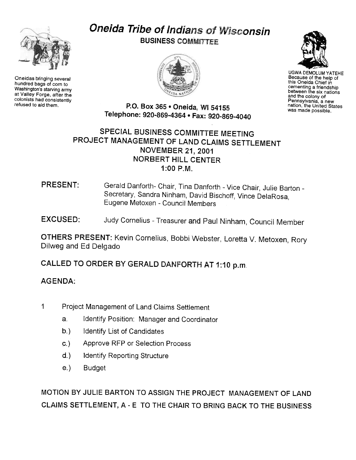

Oneidas bringing several hundred bags of corn to Washington's starving army at Valley Forge, after the colonists had consistently<br>refused to aid them.

## **Oneida Tribe of Indians of Wisconsin BUSINESS COMMITTEE**





UGWA DEMOLUM YATEHE Because of the help of this Oneida Chief in cementing a friendship between the six nations and the colony of Pennsylvania, a new nation, the United States was made possible.

P.O. Box 365 . Oneida, 'WI 54155 Telephone: 920-869-4364 · Fax: 920-869-4040

## SPECIAL BUSINESS COMMITTEE MEETING PROJECT MANAGEMENT OF LAND CLAIMS SETTLEMENT NOVEMBER 21, 2001 NORBERT HILL CENTER 1 :00 P.M.

## PRESENT: Gerald Danforth- Chair, Tina Danforth - Vice Chair, Julie Barton -Secretary, Sandra Ninham, David Bischoff, Vince DelaRosa, Eugene Metoxen -Council Members

EXCUSED: Judy Cornelius -Treasurer and Paul Ninham, Council Member

OTHERS PRESENT: Kevin Cornelius, Bobbi Webster, Loretta V. Metoxen, Rory Dilweg and Ed Delgado

CALLED TO ORDER BY GERALD DANFORTH AT 1:10 p.m,

## AGENDA:

- 1 Project Management of Land Claims Settlement
	- a. Identify Position: Manager and Coordinator
	- $b.$ Identify List of Candidates
	- $c)$ Approve RFP or Selection Process
	- d.) Identify Reporting Structure
	- e.) Budget

MOTION BY JULIE BARTON TO ASSIGN THE PROJECT MANAGEMENT OF LAND CLAIMS SETTLEMENT, A - E TO THE CHAIR TO BRING BACK TO THE BUSINESS